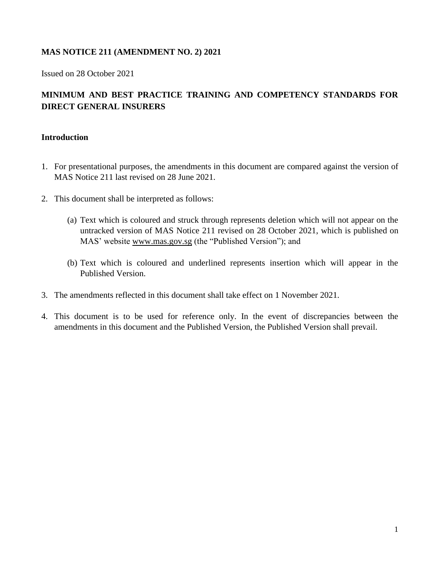## **MAS NOTICE 211 (AMENDMENT NO. 2) 2021**

Issued on 28 October 2021

# **MINIMUM AND BEST PRACTICE TRAINING AND COMPETENCY STANDARDS FOR DIRECT GENERAL INSURERS**

### **Introduction**

- 1. For presentational purposes, the amendments in this document are compared against the version of MAS Notice 211 last revised on 28 June 2021.
- 2. This document shall be interpreted as follows:
	- (a) Text which is coloured and struck through represents deletion which will not appear on the untracked version of MAS Notice 211 revised on 28 October 2021, which is published on MAS' website [www.mas.gov.sg](http://www.mas.gov.sg/) (the "Published Version"); and
	- (b) Text which is coloured and underlined represents insertion which will appear in the Published Version.
- 3. The amendments reflected in this document shall take effect on 1 November 2021.
- 4. This document is to be used for reference only. In the event of discrepancies between the amendments in this document and the Published Version, the Published Version shall prevail.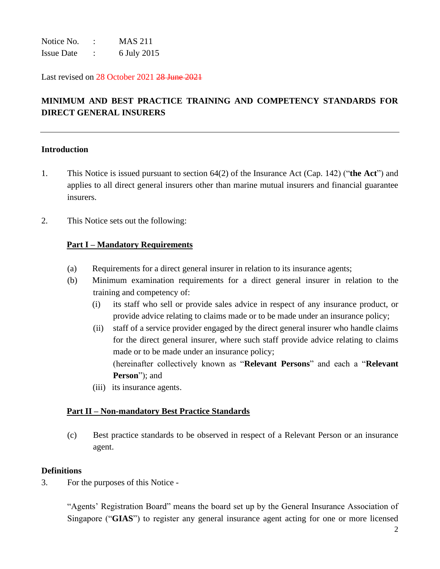Notice No. : MAS 211 Issue Date : 6 July 2015

Last revised on 28 October 2021 28 June 2021

# **MINIMUM AND BEST PRACTICE TRAINING AND COMPETENCY STANDARDS FOR DIRECT GENERAL INSURERS**

#### **Introduction**

- 1. This Notice is issued pursuant to section 64(2) of the Insurance Act (Cap. 142) ("**the Act**") and applies to all direct general insurers other than marine mutual insurers and financial guarantee insurers.
- 2. This Notice sets out the following:

#### **Part I – Mandatory Requirements**

- (a) Requirements for a direct general insurer in relation to its insurance agents;
- (b) Minimum examination requirements for a direct general insurer in relation to the training and competency of:
	- (i) its staff who sell or provide sales advice in respect of any insurance product, or provide advice relating to claims made or to be made under an insurance policy;
	- (ii) staff of a service provider engaged by the direct general insurer who handle claims for the direct general insurer, where such staff provide advice relating to claims made or to be made under an insurance policy; (hereinafter collectively known as "**Relevant Persons**" and each a "**Relevant Person**"); and
	- (iii) its insurance agents.

## **Part II – Non-mandatory Best Practice Standards**

(c) Best practice standards to be observed in respect of a Relevant Person or an insurance agent.

#### **Definitions**

3. For the purposes of this Notice -

"Agents' Registration Board" means the board set up by the General Insurance Association of Singapore ("**GIAS**") to register any general insurance agent acting for one or more licensed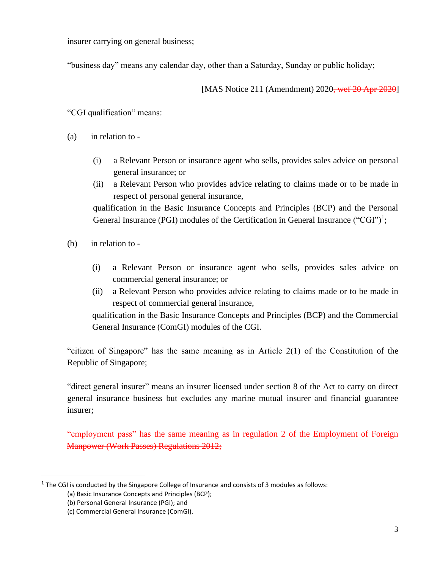insurer carrying on general business;

"business day" means any calendar day, other than a Saturday, Sunday or public holiday;

[MAS Notice 211 (Amendment) 2020<del>, wef 20 Apr 2020</del>]

"CGI qualification" means:

- (a) in relation to
	- (i) a Relevant Person or insurance agent who sells, provides sales advice on personal general insurance; or
	- (ii) a Relevant Person who provides advice relating to claims made or to be made in respect of personal general insurance,

qualification in the Basic Insurance Concepts and Principles (BCP) and the Personal General Insurance (PGI) modules of the Certification in General Insurance ("CGI")<sup>1</sup>;

- (b) in relation to
	- (i) a Relevant Person or insurance agent who sells, provides sales advice on commercial general insurance; or
	- (ii) a Relevant Person who provides advice relating to claims made or to be made in respect of commercial general insurance,

qualification in the Basic Insurance Concepts and Principles (BCP) and the Commercial General Insurance (ComGI) modules of the CGI.

"citizen of Singapore" has the same meaning as in Article 2(1) of the Constitution of the Republic of Singapore;

"direct general insurer" means an insurer licensed under section 8 of the Act to carry on direct general insurance business but excludes any marine mutual insurer and financial guarantee insurer;

"employment pass" has the same meaning as in regulation 2 of the Employment of Foreign Manpower (Work Passes) Regulations 2012;

 $<sup>1</sup>$  The CGI is conducted by the Singapore College of Insurance and consists of 3 modules as follows:</sup>

<sup>(</sup>a) Basic Insurance Concepts and Principles (BCP);

<sup>(</sup>b) Personal General Insurance (PGI); and

<sup>(</sup>c) Commercial General Insurance (ComGI).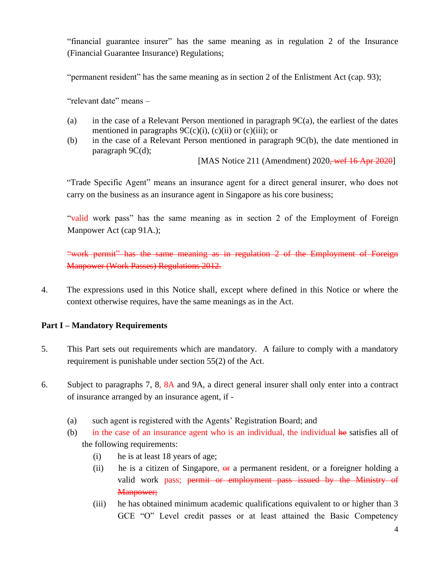"financial guarantee insurer" has the same meaning as in regulation 2 of the Insurance (Financial Guarantee Insurance) Regulations;

"permanent resident" has the same meaning as in section 2 of the Enlistment Act (cap. 93);

"relevant date" means –

- (a) in the case of a Relevant Person mentioned in paragraph 9C(a), the earliest of the dates mentioned in paragraphs  $9C(c)(i)$ ,  $(c)(ii)$  or  $(c)(iii)$ ; or
- (b) in the case of a Relevant Person mentioned in paragraph 9C(b), the date mentioned in paragraph 9C(d);

[MAS Notice 211 (Amendment) 2020<del>, wef 16 Apr 2020</del>]

"Trade Specific Agent" means an insurance agent for a direct general insurer, who does not carry on the business as an insurance agent in Singapore as his core business;

"valid work pass" has the same meaning as in section 2 of the Employment of Foreign Manpower Act (cap 91A.);

"work permit" has the same meaning as in regulation 2 of the Employment of Foreign Manpower (Work Passes) Regulations 2012.

4. The expressions used in this Notice shall, except where defined in this Notice or where the context otherwise requires, have the same meanings as in the Act.

## **Part I – Mandatory Requirements**

- 5. This Part sets out requirements which are mandatory. A failure to comply with a mandatory requirement is punishable under section 55(2) of the Act.
- 6. Subject to paragraphs 7, 8, 8A and 9A, a direct general insurer shall only enter into a contract of insurance arranged by an insurance agent, if -
	- (a) such agent is registered with the Agents' Registration Board; and
	- (b)in the case of an insurance agent who is an individual, the individual he satisfies all of the following requirements:
		- (i) he is at least 18 years of age;
		- (ii) he is a citizen of Singapore,  $\Theta$  a permanent resident, or a foreigner holding a valid work pass; permit or employment pass issued by the Ministry of Manpower;
		- (iii) he has obtained minimum academic qualifications equivalent to or higher than 3 GCE "O" Level credit passes or at least attained the Basic Competency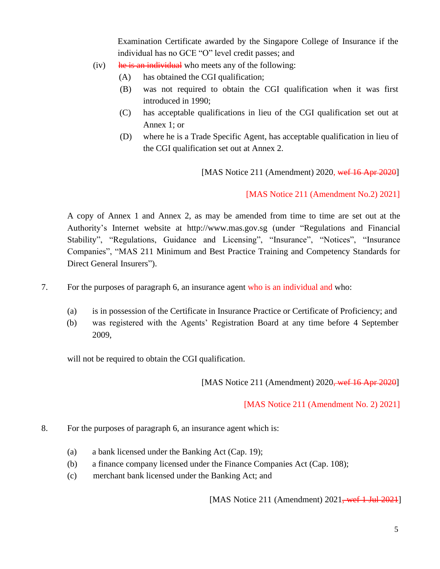Examination Certificate awarded by the Singapore College of Insurance if the individual has no GCE "O" level credit passes; and

- $(iv)$  he is an individual who meets any of the following:
	- (A) has obtained the CGI qualification;
	- (B) was not required to obtain the CGI qualification when it was first introduced in 1990;
	- (C) has acceptable qualifications in lieu of the CGI qualification set out at Annex 1; or
	- (D) where he is a Trade Specific Agent, has acceptable qualification in lieu of the CGI qualification set out at Annex 2.

[MAS Notice 211 (Amendment) 2020, wet 16 Apr 2020]

[MAS Notice 211 (Amendment No.2) 2021]

A copy of Annex 1 and Annex 2, as may be amended from time to time are set out at the Authority's Internet website at http://www.mas.gov.sg (under "Regulations and Financial Stability", "Regulations, Guidance and Licensing", "Insurance", "Notices", "Insurance Companies", "MAS 211 Minimum and Best Practice Training and Competency Standards for Direct General Insurers").

- 7. For the purposes of paragraph 6, an insurance agent who is an individual and who:
	- (a) is in possession of the Certificate in Insurance Practice or Certificate of Proficiency; and
	- (b) was registered with the Agents' Registration Board at any time before 4 September 2009,

will not be required to obtain the CGI qualification.

[MAS Notice 211 (Amendment) 2020<del>, wef 16 Apr 2020</del>]

[MAS Notice 211 (Amendment No. 2) 2021]

- 8. For the purposes of paragraph 6, an insurance agent which is:
	- (a) a bank licensed under the Banking Act (Cap. 19);
	- (b) a finance company licensed under the Finance Companies Act (Cap. 108);
	- (c) merchant bank licensed under the Banking Act; and

[MAS Notice 211 (Amendment)  $2021$ , wef 1 Jul 2021]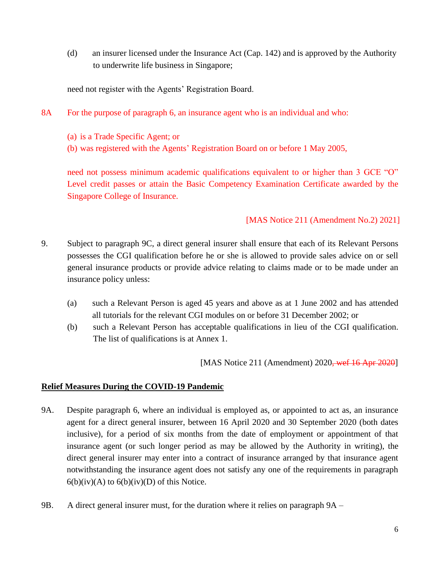(d) an insurer licensed under the Insurance Act (Cap. 142) and is approved by the Authority to underwrite life business in Singapore;

need not register with the Agents' Registration Board.

- 8A For the purpose of paragraph 6, an insurance agent who is an individual and who:
	- (a) is a Trade Specific Agent; or
	- (b) was registered with the Agents' Registration Board on or before 1 May 2005,

need not possess minimum academic qualifications equivalent to or higher than 3 GCE "O" Level credit passes or attain the Basic Competency Examination Certificate awarded by the Singapore College of Insurance.

## [MAS Notice 211 (Amendment No.2) 2021]

- 9. Subject to paragraph 9C, a direct general insurer shall ensure that each of its Relevant Persons possesses the CGI qualification before he or she is allowed to provide sales advice on or sell general insurance products or provide advice relating to claims made or to be made under an insurance policy unless:
	- (a) such a Relevant Person is aged 45 years and above as at 1 June 2002 and has attended all tutorials for the relevant CGI modules on or before 31 December 2002; or
	- (b) such a Relevant Person has acceptable qualifications in lieu of the CGI qualification. The list of qualifications is at Annex 1.

[MAS Notice 211 (Amendment) 2020<del>, wef 16 Apr 2020</del>]

#### **Relief Measures During the COVID-19 Pandemic**

- 9A. Despite paragraph 6, where an individual is employed as, or appointed to act as, an insurance agent for a direct general insurer, between 16 April 2020 and 30 September 2020 (both dates inclusive), for a period of six months from the date of employment or appointment of that insurance agent (or such longer period as may be allowed by the Authority in writing), the direct general insurer may enter into a contract of insurance arranged by that insurance agent notwithstanding the insurance agent does not satisfy any one of the requirements in paragraph  $6(b)(iv)(A)$  to  $6(b)(iv)(D)$  of this Notice.
- 9B. A direct general insurer must, for the duration where it relies on paragraph 9A –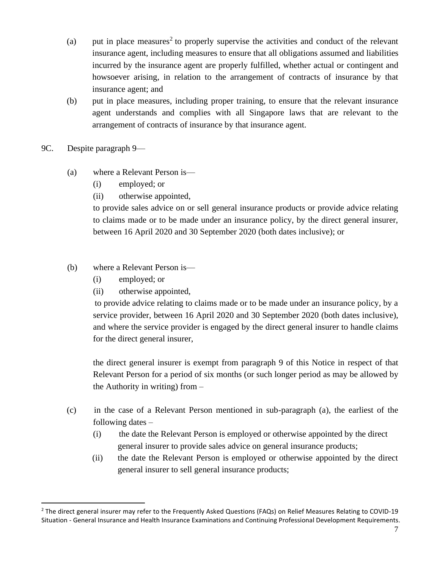- (a) put in place measures<sup>2</sup> to properly supervise the activities and conduct of the relevant insurance agent, including measures to ensure that all obligations assumed and liabilities incurred by the insurance agent are properly fulfilled, whether actual or contingent and howsoever arising, in relation to the arrangement of contracts of insurance by that insurance agent; and
- (b) put in place measures, including proper training, to ensure that the relevant insurance agent understands and complies with all Singapore laws that are relevant to the arrangement of contracts of insurance by that insurance agent.
- 9C. Despite paragraph 9—
	- (a) where a Relevant Person is—
		- (i) employed; or
		- (ii) otherwise appointed,

to provide sales advice on or sell general insurance products or provide advice relating to claims made or to be made under an insurance policy, by the direct general insurer, between 16 April 2020 and 30 September 2020 (both dates inclusive); or

- (b) where a Relevant Person is—
	- (i) employed; or
	- (ii) otherwise appointed,

to provide advice relating to claims made or to be made under an insurance policy, by a service provider, between 16 April 2020 and 30 September 2020 (both dates inclusive), and where the service provider is engaged by the direct general insurer to handle claims for the direct general insurer,

the direct general insurer is exempt from paragraph 9 of this Notice in respect of that Relevant Person for a period of six months (or such longer period as may be allowed by the Authority in writing) from –

- (c) in the case of a Relevant Person mentioned in sub-paragraph (a), the earliest of the following dates –
	- (i) the date the Relevant Person is employed or otherwise appointed by the direct general insurer to provide sales advice on general insurance products;
	- (ii) the date the Relevant Person is employed or otherwise appointed by the direct general insurer to sell general insurance products;

<sup>&</sup>lt;sup>2</sup> The direct general insurer may refer to the Frequently Asked Questions (FAQs) on Relief Measures Relating to COVID-19 Situation - General Insurance and Health Insurance Examinations and Continuing Professional Development Requirements.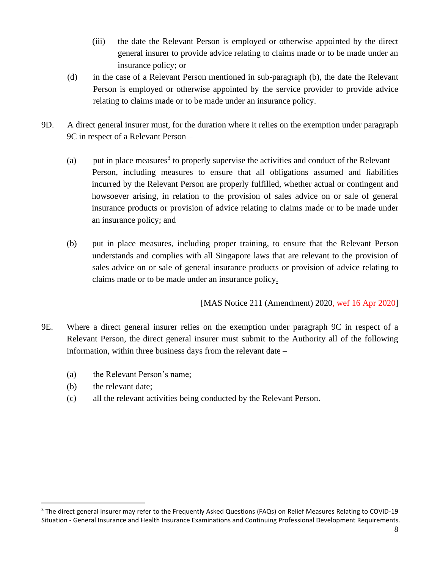- (iii) the date the Relevant Person is employed or otherwise appointed by the direct general insurer to provide advice relating to claims made or to be made under an insurance policy; or
- (d) in the case of a Relevant Person mentioned in sub-paragraph (b), the date the Relevant Person is employed or otherwise appointed by the service provider to provide advice relating to claims made or to be made under an insurance policy.
- 9D. A direct general insurer must, for the duration where it relies on the exemption under paragraph 9C in respect of a Relevant Person –
	- (a) put in place measures<sup>3</sup> to properly supervise the activities and conduct of the Relevant Person, including measures to ensure that all obligations assumed and liabilities incurred by the Relevant Person are properly fulfilled, whether actual or contingent and howsoever arising, in relation to the provision of sales advice on or sale of general insurance products or provision of advice relating to claims made or to be made under an insurance policy; and
	- (b) put in place measures, including proper training, to ensure that the Relevant Person understands and complies with all Singapore laws that are relevant to the provision of sales advice on or sale of general insurance products or provision of advice relating to claims made or to be made under an insurance policy.

[MAS Notice 211 (Amendment) 2020<del>, wef 16 Apr 2020</del>]

- 9E. Where a direct general insurer relies on the exemption under paragraph 9C in respect of a Relevant Person, the direct general insurer must submit to the Authority all of the following information, within three business days from the relevant date –
	- (a) the Relevant Person's name;
	- (b) the relevant date;
	- (c) all the relevant activities being conducted by the Relevant Person.

<sup>&</sup>lt;sup>3</sup> The direct general insurer may refer to the Frequently Asked Questions (FAQs) on Relief Measures Relating to COVID-19 Situation - General Insurance and Health Insurance Examinations and Continuing Professional Development Requirements.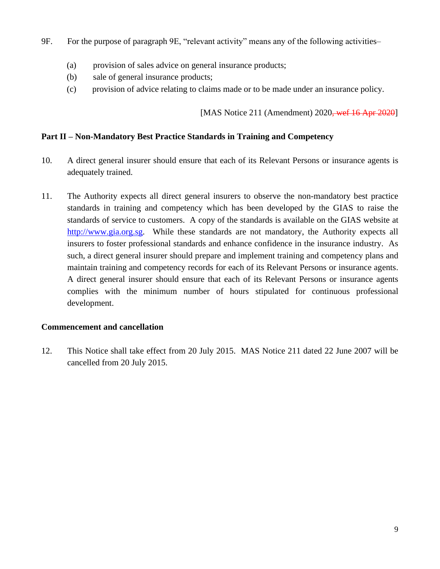- 9F. For the purpose of paragraph 9E, "relevant activity" means any of the following activities–
	- (a) provision of sales advice on general insurance products;
	- (b) sale of general insurance products;
	- (c) provision of advice relating to claims made or to be made under an insurance policy.

[MAS Notice 211 (Amendment) 2020<del>, wef 16 Apr 2020</del>]

## **Part II – Non-Mandatory Best Practice Standards in Training and Competency**

- 10. A direct general insurer should ensure that each of its Relevant Persons or insurance agents is adequately trained.
- 11. The Authority expects all direct general insurers to observe the non-mandatory best practice standards in training and competency which has been developed by the GIAS to raise the standards of service to customers. A copy of the standards is available on the GIAS website at [http://www.gia.org.sg.](http://www.gia.org.sg/) While these standards are not mandatory, the Authority expects all insurers to foster professional standards and enhance confidence in the insurance industry. As such, a direct general insurer should prepare and implement training and competency plans and maintain training and competency records for each of its Relevant Persons or insurance agents. A direct general insurer should ensure that each of its Relevant Persons or insurance agents complies with the minimum number of hours stipulated for continuous professional development.

## **Commencement and cancellation**

12. This Notice shall take effect from 20 July 2015. MAS Notice 211 dated 22 June 2007 will be cancelled from 20 July 2015.